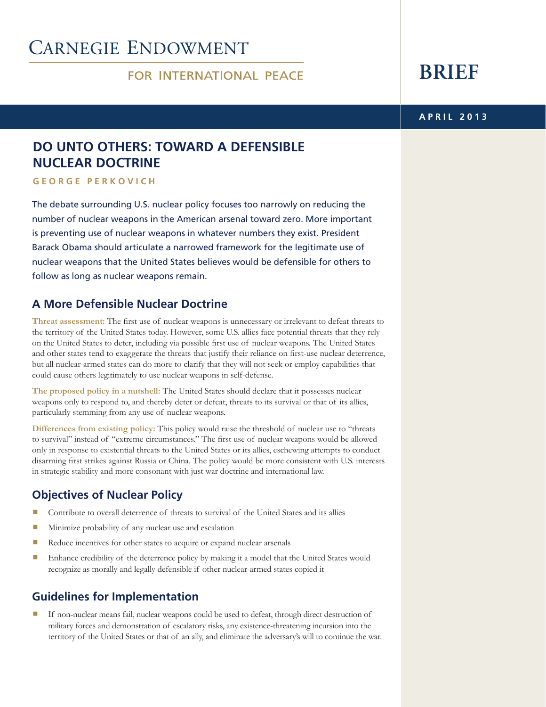# **CARNEGIE ENDOWMENT**

### **FOR INTERNATIONAL PEACE**

# **BRIEF**

#### **2013 APRIL**

## **DO UNTO OTHERS: TOWARD A DEFENSIBLE NUCLEAR DOCTRINE**

**h c i v o k r Pe e org e G**

The debate surrounding U.S. nuclear policy focuses too narrowly on reducing the number of nuclear weapons in the American arsenal toward zero. More important is preventing use of nuclear weapons in whatever numbers they exist. President Barack Obama should articulate a narrowed framework for the legitimate use of nuclear weapons that the United States believes would be defensible for others to follow as long as nuclear weapons remain.

## **A More Defensible Nuclear Doctrine**

Threat assessment: The first use of nuclear weapons is unnecessary or irrelevant to defeat threats to the territory of the United States today. However, some U.S. allies face potential threats that they rely on the United States to deter, including via possible first use of nuclear weapons. The United States and other states tend to exaggerate the threats that justify their reliance on first-use nuclear deterrence, but all nuclear-armed states can do more to clarify that they will not seek or employ capabilities that could cause others legitimately to use nuclear weapons in self-defense.

The proposed policy in a nutshell: The United States should declare that it possesses nuclear weapons only to respond to, and thereby deter or defeat, threats to its survival or that of its allies, particularly stemming from any use of nuclear weapons.

Differences from existing policy: This policy would raise the threshold of nuclear use to "threats" to survival" instead of "extreme circumstances." The first use of nuclear weapons would be allowed only in response to existential threats to the United States or its allies, eschewing attempts to conduct disarming first strikes against Russia or China. The policy would be more consistent with U.S. interests in strategic stability and more consonant with just war doctrine and international law.

## **Policy Policy Policy**

- Contribute to overall deterrence of threats to survival of the United States and its allies
- $\blacksquare$  Minimize probability of any nuclear use and escalation
- $\blacksquare$  Reduce incentives for other states to acquire or expand nuclear arsenals
- **In Enhance credibility of the deterrence policy by making it a model that the United States would** recognize as morally and legally defensible if other nuclear-armed states copied it

## **Guidelines for Implementation**

If non-nuclear means fail, nuclear weapons could be used to defeat, through direct destruction of military forces and demonstration of escalatory risks, any existence-threatening incursion into the territory of the United States or that of an ally, and eliminate the adversary's will to continue the war.